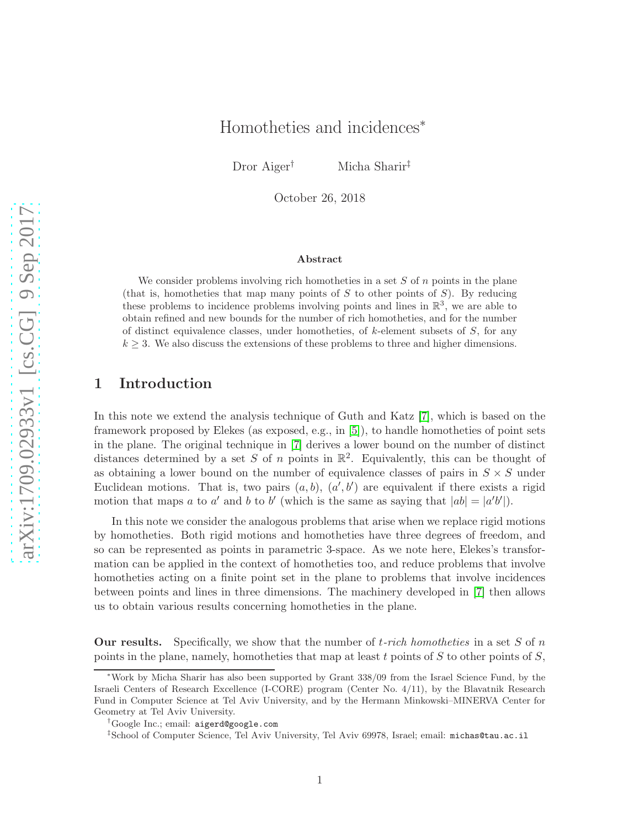# Homotheties and incidences<sup>∗</sup>

Dror Aiger† Micha Sharir‡

October 26, 2018

#### Abstract

We consider problems involving rich homotheties in a set  $S$  of  $n$  points in the plane (that is, homotheties that map many points of  $S$  to other points of  $S$ ). By reducing these problems to incidence problems involving points and lines in  $\mathbb{R}^3$ , we are able to obtain refined and new bounds for the number of rich homotheties, and for the number of distinct equivalence classes, under homotheties, of  $k$ -element subsets of  $S$ , for any  $k \geq 3$ . We also discuss the extensions of these problems to three and higher dimensions.

## 1 Introduction

In this note we extend the analysis technique of Guth and Katz [\[7\]](#page-9-0), which is based on the framework proposed by Elekes (as exposed, e.g., in [\[5\]](#page-9-1)), to handle homotheties of point sets in the plane. The original technique in [\[7\]](#page-9-0) derives a lower bound on the number of distinct distances determined by a set S of n points in  $\mathbb{R}^2$ . Equivalently, this can be thought of as obtaining a lower bound on the number of equivalence classes of pairs in  $S \times S$  under Euclidean motions. That is, two pairs  $(a, b)$ ,  $(a', b')$  are equivalent if there exists a rigid motion that maps a to a' and b to b' (which is the same as saying that  $|ab| = |a'b'|$ ).

In this note we consider the analogous problems that arise when we replace rigid motions by homotheties. Both rigid motions and homotheties have three degrees of freedom, and so can be represented as points in parametric 3-space. As we note here, Elekes's transformation can be applied in the context of homotheties too, and reduce problems that involve homotheties acting on a finite point set in the plane to problems that involve incidences between points and lines in three dimensions. The machinery developed in [\[7\]](#page-9-0) then allows us to obtain various results concerning homotheties in the plane.

Our results. Specifically, we show that the number of t*-rich homotheties* in a set S of n points in the plane, namely, homotheties that map at least t points of  $S$  to other points of  $S$ ,

<sup>∗</sup>Work by Micha Sharir has also been supported by Grant 338/09 from the Israel Science Fund, by the Israeli Centers of Research Excellence (I-CORE) program (Center No. 4/11), by the Blavatnik Research Fund in Computer Science at Tel Aviv University, and by the Hermann Minkowski–MINERVA Center for Geometry at Tel Aviv University.

<sup>†</sup>Google Inc.; email: aigerd@google.com

<sup>‡</sup> School of Computer Science, Tel Aviv University, Tel Aviv 69978, Israel; email: michas@tau.ac.il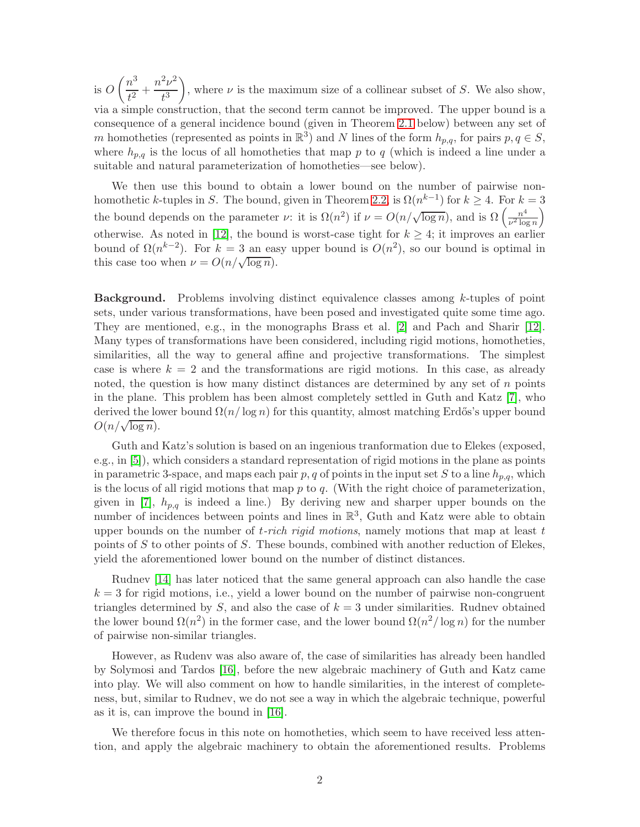is  $O\left(\frac{n^3}{2}\right)$  $\frac{n^3}{t^2} + \frac{n^2\nu^2}{t^3}$  $t^3$ ), where  $\nu$  is the maximum size of a collinear subset of S. We also show, via a simple construction, that the second term cannot be improved. The upper bound is a consequence of a general incidence bound (given in Theorem [2.1](#page-3-0) below) between any set of m homotheties (represented as points in  $\mathbb{R}^3$ ) and N lines of the form  $h_{p,q}$ , for pairs  $p, q \in S$ , where  $h_{p,q}$  is the locus of all homotheties that map p to q (which is indeed a line under a suitable and natural parameterization of homotheties—see below).

We then use this bound to obtain a lower bound on the number of pairwise non-homothetic k-tuples in S. The bound, given in Theorem [2.2,](#page-5-0) is  $\Omega(n^{k-1})$  for  $k \geq 4$ . For  $k = 3$ . the bound depends on the parameter v: it is  $\Omega(n^2)$  if  $\nu = O(n/\sqrt{\log n})$ , and is  $\Omega\left(\frac{n^4}{n^2\log n}\right)$  $\frac{n^4}{\nu^2 \log n}$ otherwise. As noted in [\[12\]](#page-9-2), the bound is worst-case tight for  $k \geq 4$ ; it improves an earlier bound of  $\Omega(n^{k-2})$ . For  $k=3$  an easy upper bound is  $O(n^2)$ , so our bound is optimal in this case too when  $\nu = O(n/\sqrt{\log n}).$ 

Background. Problems involving distinct equivalence classes among k-tuples of point sets, under various transformations, have been posed and investigated quite some time ago. They are mentioned, e.g., in the monographs Brass et al. [\[2\]](#page-9-3) and Pach and Sharir [\[12\]](#page-9-2). Many types of transformations have been considered, including rigid motions, homotheties, similarities, all the way to general affine and projective transformations. The simplest case is where  $k = 2$  and the transformations are rigid motions. In this case, as already noted, the question is how many distinct distances are determined by any set of  $n$  points in the plane. This problem has been almost completely settled in Guth and Katz [\[7\]](#page-9-0), who derived the lower bound  $\Omega(n/\log n)$  for this quantity, almost matching Erdős's upper bound  $O(n/\sqrt{\log n}).$ 

Guth and Katz's solution is based on an ingenious tranformation due to Elekes (exposed, e.g., in [\[5\]](#page-9-1)), which considers a standard representation of rigid motions in the plane as points in parametric 3-space, and maps each pair  $p, q$  of points in the input set S to a line  $h_{p,q}$ , which is the locus of all rigid motions that map  $p$  to  $q$ . (With the right choice of parameterization, given in [\[7\]](#page-9-0),  $h_{p,q}$  is indeed a line.) By deriving new and sharper upper bounds on the number of incidences between points and lines in  $\mathbb{R}^3$ , Guth and Katz were able to obtain upper bounds on the number of t*-rich rigid motions*, namely motions that map at least t points of  $S$  to other points of  $S$ . These bounds, combined with another reduction of Elekes, yield the aforementioned lower bound on the number of distinct distances.

Rudnev [\[14\]](#page-10-0) has later noticed that the same general approach can also handle the case  $k = 3$  for rigid motions, i.e., yield a lower bound on the number of pairwise non-congruent triangles determined by S, and also the case of  $k = 3$  under similarities. Rudney obtained the lower bound  $\Omega(n^2)$  in the former case, and the lower bound  $\Omega(n^2/\log n)$  for the number of pairwise non-similar triangles.

However, as Rudenv was also aware of, the case of similarities has already been handled by Solymosi and Tardos [\[16\]](#page-10-1), before the new algebraic machinery of Guth and Katz came into play. We will also comment on how to handle similarities, in the interest of completeness, but, similar to Rudnev, we do not see a way in which the algebraic technique, powerful as it is, can improve the bound in [\[16\]](#page-10-1).

We therefore focus in this note on homotheties, which seem to have received less attention, and apply the algebraic machinery to obtain the aforementioned results. Problems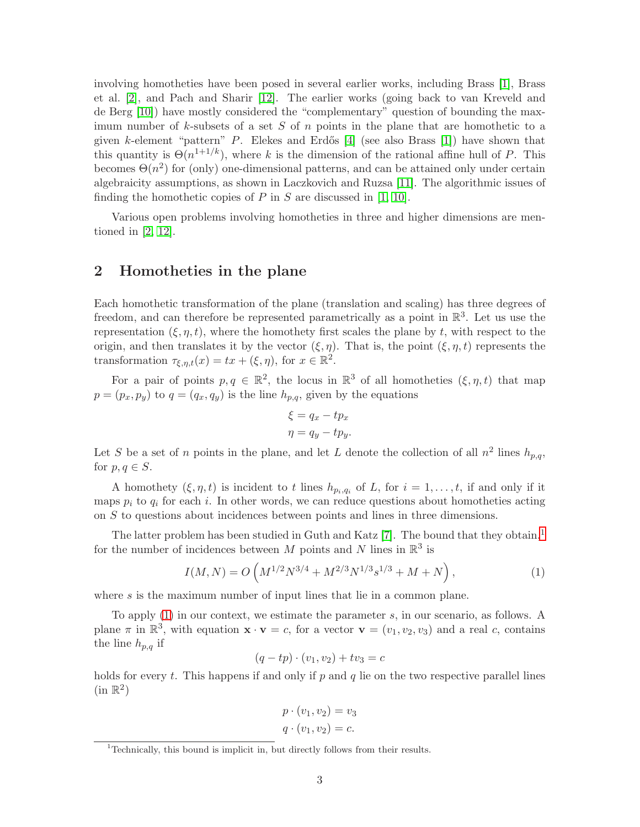involving homotheties have been posed in several earlier works, including Brass [\[1\]](#page-9-4), Brass et al. [\[2\]](#page-9-3), and Pach and Sharir [\[12\]](#page-9-2). The earlier works (going back to van Kreveld and de Berg [\[10\]](#page-9-5)) have mostly considered the "complementary" question of bounding the maximum number of  $k$ -subsets of a set S of n points in the plane that are homothetic to a given k-element "pattern" P. Elekes and Erdős [\[4\]](#page-9-6) (see also Brass [\[1\]](#page-9-4)) have shown that this quantity is  $\Theta(n^{1+1/k})$ , where k is the dimension of the rational affine hull of P. This becomes  $\Theta(n^2)$  for (only) one-dimensional patterns, and can be attained only under certain algebraicity assumptions, as shown in Laczkovich and Ruzsa [\[11\]](#page-9-7). The algorithmic issues of finding the homothetic copies of  $P$  in  $S$  are discussed in [\[1,](#page-9-4) [10\]](#page-9-5).

Various open problems involving homotheties in three and higher dimensions are mentioned in [\[2,](#page-9-3) [12\]](#page-9-2).

### 2 Homotheties in the plane

Each homothetic transformation of the plane (translation and scaling) has three degrees of freedom, and can therefore be represented parametrically as a point in  $\mathbb{R}^3$ . Let us use the representation  $(\xi, \eta, t)$ , where the homothety first scales the plane by t, with respect to the origin, and then translates it by the vector  $(\xi, \eta)$ . That is, the point  $(\xi, \eta, t)$  represents the transformation  $\tau_{\xi,\eta,t}(x) = tx + (\xi,\eta)$ , for  $x \in \mathbb{R}^2$ .

For a pair of points  $p, q \in \mathbb{R}^2$ , the locus in  $\mathbb{R}^3$  of all homotheties  $(\xi, \eta, t)$  that map  $p = (p_x, p_y)$  to  $q = (q_x, q_y)$  is the line  $h_{p,q}$ , given by the equations

$$
\xi = q_x - tp_x
$$

$$
\eta = q_y - tp_y.
$$

Let S be a set of n points in the plane, and let L denote the collection of all  $n^2$  lines  $h_{p,q}$ , for  $p, q \in S$ .

A homothety  $(\xi, \eta, t)$  is incident to t lines  $h_{p_i,q_i}$  of L, for  $i = 1, \ldots, t$ , if and only if it maps  $p_i$  to  $q_i$  for each i. In other words, we can reduce questions about homotheties acting on S to questions about incidences between points and lines in three dimensions.

The latter problem has been studied in Guth and Katz [\[7\]](#page-9-0). The bound that they obtain,<sup>[1](#page-2-0)</sup> for the number of incidences between M points and N lines in  $\mathbb{R}^3$  is

<span id="page-2-1"></span>
$$
I(M,N) = O\left(M^{1/2}N^{3/4} + M^{2/3}N^{1/3}s^{1/3} + M + N\right),\tag{1}
$$

where s is the maximum number of input lines that lie in a common plane.

To apply [\(1\)](#page-2-1) in our context, we estimate the parameter s, in our scenario, as follows. A plane  $\pi$  in  $\mathbb{R}^3$ , with equation  $\mathbf{x} \cdot \mathbf{v} = c$ , for a vector  $\mathbf{v} = (v_1, v_2, v_3)$  and a real c, contains the line  $h_{p,q}$  if

$$
(q - tp) \cdot (v_1, v_2) + tv_3 = c
$$

holds for every t. This happens if and only if p and q lie on the two respective parallel lines  $(in \mathbb{R}^2)$ 

$$
p \cdot (v_1, v_2) = v_3
$$

$$
q \cdot (v_1, v_2) = c.
$$

<span id="page-2-0"></span> $1$ <sup>1</sup> Technically, this bound is implicit in, but directly follows from their results.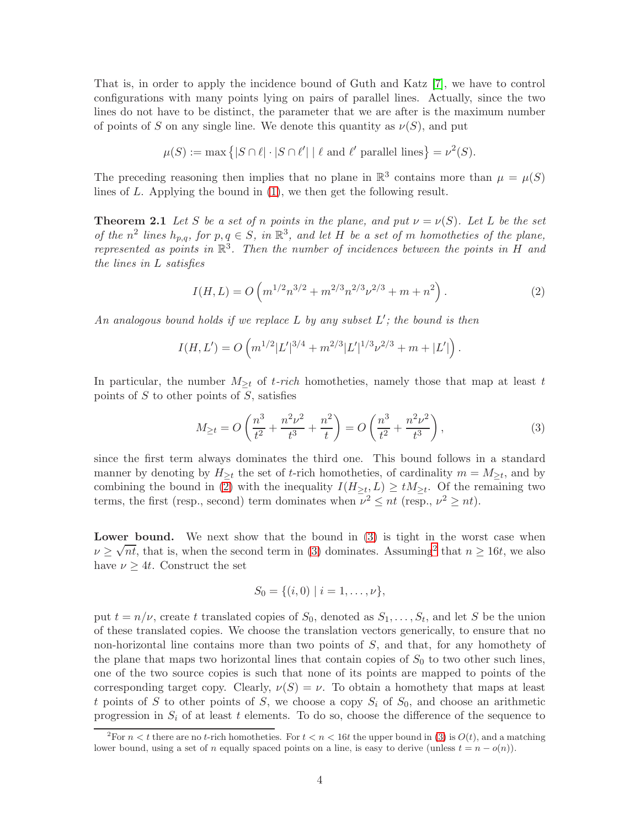That is, in order to apply the incidence bound of Guth and Katz [\[7\]](#page-9-0), we have to control configurations with many points lying on pairs of parallel lines. Actually, since the two lines do not have to be distinct, the parameter that we are after is the maximum number of points of S on any single line. We denote this quantity as  $\nu(S)$ , and put

$$
\mu(S) := \max \left\{ |S \cap \ell| \cdot |S \cap \ell'| \mid \ell \text{ and } \ell' \text{ parallel lines} \right\} = \nu^2(S).
$$

The preceding reasoning then implies that no plane in  $\mathbb{R}^3$  contains more than  $\mu = \mu(S)$ lines of L. Applying the bound in [\(1\)](#page-2-1), we then get the following result.

**Theorem 2.1** Let S be a set of n points in the plane, and put  $\nu = \nu(S)$ . Let L be the set *of the*  $n^2$  lines  $h_{p,q}$ , for  $p, q \in S$ , in  $\mathbb{R}^3$ , and let H *be a set of* m *homotheties of the plane*, *represented as points in* R 3 *. Then the number of incidences between the points in* H *and the lines in* L *satisfies*

<span id="page-3-1"></span><span id="page-3-0"></span>
$$
I(H, L) = O\left(m^{1/2}n^{3/2} + m^{2/3}n^{2/3}\nu^{2/3} + m + n^2\right).
$$
 (2)

*An analogous bound holds if we replace* L *by any subset* L ′ *; the bound is then*

$$
I(H, L') = O\left(m^{1/2} |L'|^{3/4} + m^{2/3} |L'|^{1/3} \nu^{2/3} + m + |L'| \right).
$$

In particular, the number  $M_{\geq t}$  of t-rich homotheties, namely those that map at least t points of  $S$  to other points of  $S$ , satisfies

<span id="page-3-2"></span>
$$
M_{\geq t} = O\left(\frac{n^3}{t^2} + \frac{n^2\nu^2}{t^3} + \frac{n^2}{t}\right) = O\left(\frac{n^3}{t^2} + \frac{n^2\nu^2}{t^3}\right),\tag{3}
$$

since the first term always dominates the third one. This bound follows in a standard manner by denoting by  $H_{\geq t}$  the set of t-rich homotheties, of cardinality  $m = M_{\geq t}$ , and by combining the bound in [\(2\)](#page-3-1) with the inequality  $I(H_{\geq t}, L) \geq tM_{\geq t}$ . Of the remaining two terms, the first (resp., second) term dominates when  $\nu^2 \le nt$  (resp.,  $\nu^2 \ge nt$ ).

Lower bound. We next show that the bound in [\(3\)](#page-3-2) is tight in the worst case when  $\nu \geq \sqrt{n t}$ , that is, when the second term in [\(3\)](#page-3-2) dominates. Assuming<sup>[2](#page-3-3)</sup> that  $n \geq 16t$ , we also have  $\nu \geq 4t$ . Construct the set

$$
S_0 = \{(i,0) \mid i = 1,\ldots,\nu\},\
$$

put  $t = n/\nu$ , create t translated copies of  $S_0$ , denoted as  $S_1, \ldots, S_t$ , and let S be the union of these translated copies. We choose the translation vectors generically, to ensure that no non-horizontal line contains more than two points of S, and that, for any homothety of the plane that maps two horizontal lines that contain copies of  $S_0$  to two other such lines, one of the two source copies is such that none of its points are mapped to points of the corresponding target copy. Clearly,  $\nu(S) = \nu$ . To obtain a homothety that maps at least t points of S to other points of S, we choose a copy  $S_i$  of  $S_0$ , and choose an arithmetic progression in  $S_i$  of at least t elements. To do so, choose the difference of the sequence to

<span id="page-3-3"></span><sup>&</sup>lt;sup>2</sup>For  $n < t$  there are no t-rich homotheties. For  $t < n < 16t$  the upper bound in [\(3\)](#page-3-2) is  $O(t)$ , and a matching lower bound, using a set of n equally spaced points on a line, is easy to derive (unless  $t = n - o(n)$ ).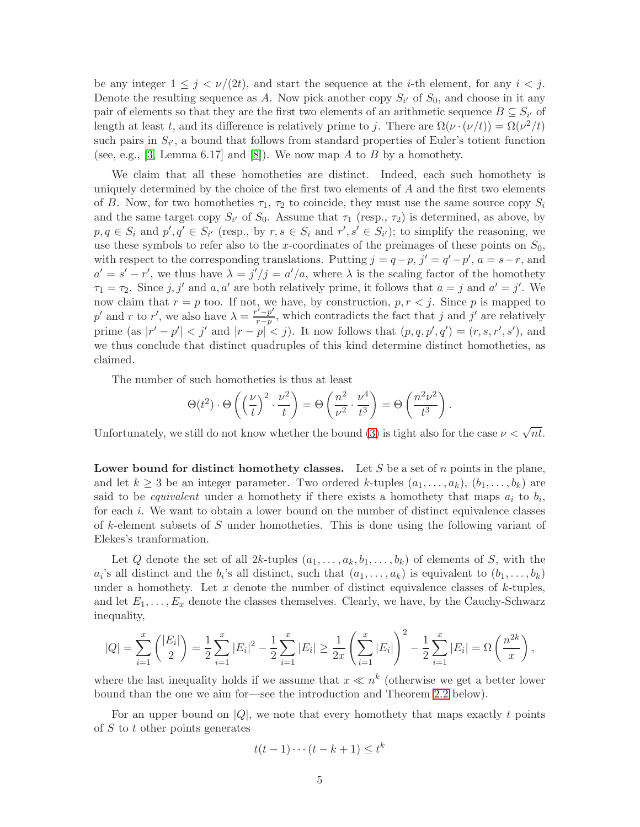be any integer  $1 \leq j \lt \nu/(2t)$ , and start the sequence at the *i*-th element, for any  $i \lt j$ . Denote the resulting sequence as A. Now pick another copy  $S_{i'}$  of  $S_0$ , and choose in it any pair of elements so that they are the first two elements of an arithmetic sequence  $B \subseteq S_{i'}$  of length at least t, and its difference is relatively prime to j. There are  $\Omega(\nu \cdot (\nu/t)) = \Omega(\nu^2/t)$ such pairs in  $S_{i'}$ , a bound that follows from standard properties of Euler's totient function (see, e.g., [\[3,](#page-9-8) Lemma 6.17] and [\[8\]](#page-9-9)). We now map A to B by a homothety.

We claim that all these homotheties are distinct. Indeed, each such homothety is uniquely determined by the choice of the first two elements of A and the first two elements of B. Now, for two homotheties  $\tau_1$ ,  $\tau_2$  to coincide, they must use the same source copy  $S_i$ and the same target copy  $S_{i'}$  of  $S_0$ . Assume that  $\tau_1$  (resp.,  $\tau_2$ ) is determined, as above, by  $p, q \in S_i$  and  $p', q' \in S_{i'}$  (resp., by  $r, s \in S_i$  and  $r', s' \in S_{i'}$ ); to simplify the reasoning, we use these symbols to refer also to the x-coordinates of the preimages of these points on  $S_0$ , with respect to the corresponding translations. Putting  $j = q - p$ ,  $j' = q' - p'$ ,  $a = s - r$ , and  $a' = s' - r'$ , we thus have  $\lambda = j'/j = a'/a$ , where  $\lambda$  is the scaling factor of the homothety  $\tau_1 = \tau_2$ . Since  $j, j'$  and  $a, a'$  are both relatively prime, it follows that  $a = j$  and  $a' = j'$ . We now claim that  $r = p$  too. If not, we have, by construction,  $p, r < j$ . Since p is mapped to p' and r to r', we also have  $\lambda = \frac{r^{\prime} - p^{\prime}}{r - p}$  $\frac{r-p}{r-p}$ , which contradicts the fact that j and j' are relatively prime (as  $|r'-p'| < j'$  and  $|r-p| < j$ ). It now follows that  $(p,q,p',q') = (r,s,r',s')$ , and we thus conclude that distinct quadruples of this kind determine distinct homotheties, as claimed.

The number of such homotheties is thus at least

$$
\Theta(t^2) \cdot \Theta\left(\left(\frac{\nu}{t}\right)^2 \cdot \frac{\nu^2}{t}\right) = \Theta\left(\frac{n^2}{\nu^2} \cdot \frac{\nu^4}{t^3}\right) = \Theta\left(\frac{n^2 \nu^2}{t^3}\right).
$$

Unfortunately, we still do not know whether the bound [\(3\)](#page-3-2) is tight also for the case  $\nu < \sqrt{n t}$ .

Lower bound for distinct homothety classes. Let S be a set of n points in the plane, and let  $k \geq 3$  be an integer parameter. Two ordered k-tuples  $(a_1, \ldots, a_k)$ ,  $(b_1, \ldots, b_k)$  are said to be *equivalent* under a homothety if there exists a homothety that maps  $a_i$  to  $b_i$ , for each i. We want to obtain a lower bound on the number of distinct equivalence classes of k-element subsets of S under homotheties. This is done using the following variant of Elekes's tranformation.

Let Q denote the set of all  $2k$ -tuples  $(a_1, \ldots, a_k, b_1, \ldots, b_k)$  of elements of S, with the  $a_i$ 's all distinct and the  $b_i$ 's all distinct, such that  $(a_1, \ldots, a_k)$  is equivalent to  $(b_1, \ldots, b_k)$ under a homothety. Let  $x$  denote the number of distinct equivalence classes of  $k$ -tuples, and let  $E_1, \ldots, E_x$  denote the classes themselves. Clearly, we have, by the Cauchy-Schwarz inequality,

$$
|Q| = \sum_{i=1}^{x} { |E_i| \choose 2} = \frac{1}{2} \sum_{i=1}^{x} |E_i|^2 - \frac{1}{2} \sum_{i=1}^{x} |E_i| \ge \frac{1}{2x} \left( \sum_{i=1}^{x} |E_i| \right)^2 - \frac{1}{2} \sum_{i=1}^{x} |E_i| = \Omega \left( \frac{n^{2k}}{x} \right),
$$

where the last inequality holds if we assume that  $x \ll n^k$  (otherwise we get a better lower bound than the one we aim for—see the introduction and Theorem [2.2](#page-5-0) below).

For an upper bound on  $|Q|$ , we note that every homothety that maps exactly t points of  $S$  to  $t$  other points generates

$$
t(t-1)\cdots(t-k+1)\leq t^k
$$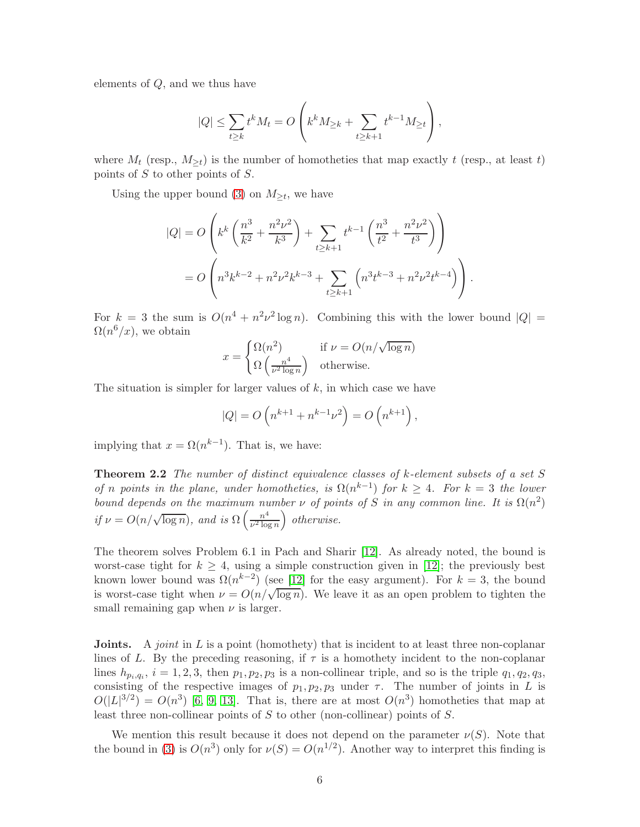elements of Q, and we thus have

$$
|Q| \le \sum_{t \ge k} t^k M_t = O\left(k^k M_{\ge k} + \sum_{t \ge k+1} t^{k-1} M_{\ge t}\right),
$$

where  $M_t$  (resp.,  $M_{\geq t}$ ) is the number of homotheties that map exactly t (resp., at least t) points of S to other points of S.

Using the upper bound [\(3\)](#page-3-2) on  $M_{\geq t}$ , we have

$$
|Q| = O\left(k^k \left(\frac{n^3}{k^2} + \frac{n^2 \nu^2}{k^3}\right) + \sum_{t \ge k+1} t^{k-1} \left(\frac{n^3}{t^2} + \frac{n^2 \nu^2}{t^3}\right)\right)
$$
  
= 
$$
O\left(n^3 k^{k-2} + n^2 \nu^2 k^{k-3} + \sum_{t \ge k+1} \left(n^3 t^{k-3} + n^2 \nu^2 t^{k-4}\right)\right).
$$

For  $k = 3$  the sum is  $O(n^4 + n^2 \nu^2 \log n)$ . Combining this with the lower bound  $|Q| =$  $\Omega(n^6/x)$ , we obtain

$$
x = \begin{cases} \Omega(n^2) & \text{if } \nu = O(n/\sqrt{\log n})\\ \Omega\left(\frac{n^4}{\nu^2 \log n}\right) & \text{otherwise.} \end{cases}
$$

The situation is simpler for larger values of  $k$ , in which case we have

<span id="page-5-0"></span>
$$
|Q| = O(n^{k+1} + n^{k-1}\nu^2) = O(n^{k+1}),
$$

implying that  $x = \Omega(n^{k-1})$ . That is, we have:

Theorem 2.2 *The number of distinct equivalence classes of* k*-element subsets of a set* S *of n points in the plane, under homotheties, is*  $\Omega(n^{k-1})$  *for*  $k \geq 4$ *. For*  $k = 3$  *the lower bound depends on the maximum number*  $\nu$  *of points of* S *in any common line. It is*  $\Omega(n^2)$ *if*  $\nu = O(n/\sqrt{\log n})$ *, and is*  $\Omega\left(\frac{n^4}{\nu^2 \log n}\right)$  $\frac{n^4}{\nu^2 \log n}$ ) otherwise.

The theorem solves Problem 6.1 in Pach and Sharir [\[12\]](#page-9-2). As already noted, the bound is worst-case tight for  $k \geq 4$ , using a simple construction given in [\[12\]](#page-9-2); the previously best known lower bound was  $\Omega(n^{k-2})$  (see [\[12\]](#page-9-2) for the easy argument). For  $k=3$ , the bound is worst-case tight when  $\nu = O(n/\sqrt{\log n})$ . We leave it as an open problem to tighten the small remaining gap when  $\nu$  is larger.

**Joints.** A *joint* in L is a point (homothety) that is incident to at least three non-coplanar lines of L. By the preceding reasoning, if  $\tau$  is a homothety incident to the non-coplanar lines  $h_{p_i,q_i}$ ,  $i = 1, 2, 3$ , then  $p_1, p_2, p_3$  is a non-collinear triple, and so is the triple  $q_1, q_2, q_3$ , consisting of the respective images of  $p_1, p_2, p_3$  under  $\tau$ . The number of joints in L is  $O(|L|^{3/2}) = O(n^3)$  [\[6,](#page-9-10) [9,](#page-9-11) [13\]](#page-9-12). That is, there are at most  $O(n^3)$  homotheties that map at least three non-collinear points of  $S$  to other (non-collinear) points of  $S$ .

We mention this result because it does not depend on the parameter  $\nu(S)$ . Note that the bound in [\(3\)](#page-3-2) is  $O(n^3)$  only for  $\nu(S) = O(n^{1/2})$ . Another way to interpret this finding is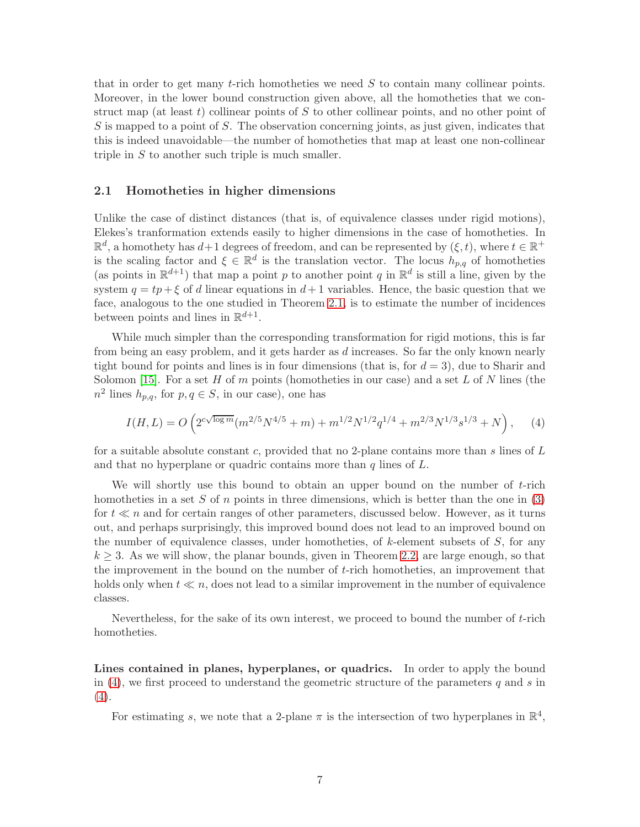that in order to get many t-rich homotheties we need  $S$  to contain many collinear points. Moreover, in the lower bound construction given above, all the homotheties that we construct map (at least t) collinear points of S to other collinear points, and no other point of  $S$  is mapped to a point of S. The observation concerning joints, as just given, indicates that this is indeed unavoidable—the number of homotheties that map at least one non-collinear triple in  $S$  to another such triple is much smaller.

#### 2.1 Homotheties in higher dimensions

Unlike the case of distinct distances (that is, of equivalence classes under rigid motions), Elekes's tranformation extends easily to higher dimensions in the case of homotheties. In  $\mathbb{R}^d$ , a homothety has  $d+1$  degrees of freedom, and can be represented by  $(\xi, t)$ , where  $t \in \mathbb{R}^+$ is the scaling factor and  $\xi \in \mathbb{R}^d$  is the translation vector. The locus  $h_{p,q}$  of homotheties (as points in  $\mathbb{R}^{d+1}$ ) that map a point p to another point q in  $\mathbb{R}^d$  is still a line, given by the system  $q = tp + \xi$  of d linear equations in  $d+1$  variables. Hence, the basic question that we face, analogous to the one studied in Theorem [2.1,](#page-3-0) is to estimate the number of incidences between points and lines in  $\mathbb{R}^{d+1}$ .

While much simpler than the corresponding transformation for rigid motions, this is far from being an easy problem, and it gets harder as d increases. So far the only known nearly tight bound for points and lines is in four dimensions (that is, for  $d = 3$ ), due to Sharir and Solomon [\[15\]](#page-10-2). For a set H of m points (homotheties in our case) and a set L of N lines (the  $n^2$  lines  $h_{p,q}$ , for  $p,q \in S$ , in our case), one has

<span id="page-6-0"></span>
$$
I(H,L) = O\left(2^{c\sqrt{\log m}}(m^{2/5}N^{4/5} + m) + m^{1/2}N^{1/2}q^{1/4} + m^{2/3}N^{1/3}s^{1/3} + N\right),\tag{4}
$$

for a suitable absolute constant c, provided that no 2-plane contains more than s lines of  $L$ and that no hyperplane or quadric contains more than  $q$  lines of  $L$ .

We will shortly use this bound to obtain an upper bound on the number of  $t$ -rich homotheties in a set S of n points in three dimensions, which is better than the one in  $(3)$ for  $t \ll n$  and for certain ranges of other parameters, discussed below. However, as it turns out, and perhaps surprisingly, this improved bound does not lead to an improved bound on the number of equivalence classes, under homotheties, of  $k$ -element subsets of  $S$ , for any  $k \geq 3$ . As we will show, the planar bounds, given in Theorem [2.2,](#page-5-0) are large enough, so that the improvement in the bound on the number of t-rich homotheties, an improvement that holds only when  $t \ll n$ , does not lead to a similar improvement in the number of equivalence classes.

Nevertheless, for the sake of its own interest, we proceed to bound the number of t-rich homotheties.

Lines contained in planes, hyperplanes, or quadrics. In order to apply the bound in  $(4)$ , we first proceed to understand the geometric structure of the parameters q and s in  $(4).$  $(4).$ 

For estimating s, we note that a 2-plane  $\pi$  is the intersection of two hyperplanes in  $\mathbb{R}^4$ ,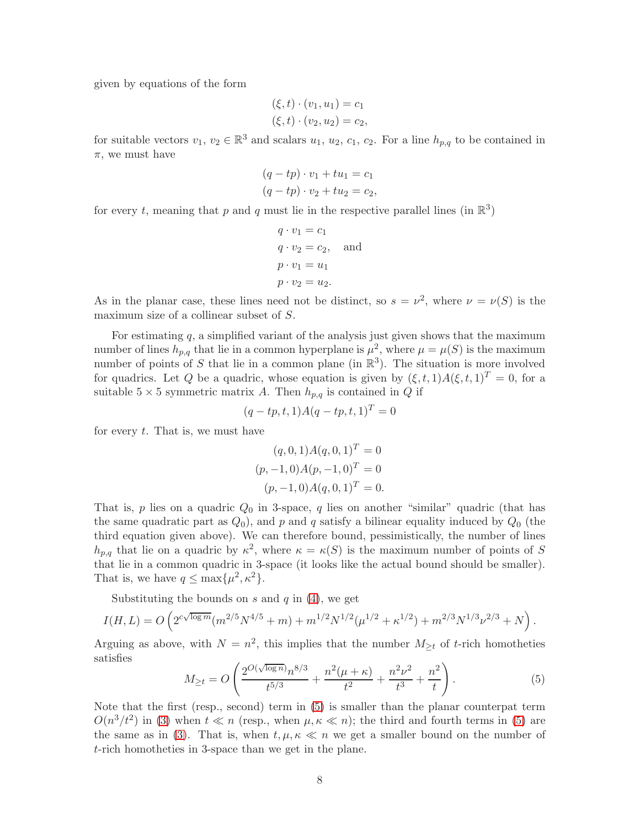given by equations of the form

$$
(\xi, t) \cdot (v_1, u_1) = c_1 (\xi, t) \cdot (v_2, u_2) = c_2,
$$

for suitable vectors  $v_1, v_2 \in \mathbb{R}^3$  and scalars  $u_1, u_2, c_1, c_2$ . For a line  $h_{p,q}$  to be contained in  $\pi$ , we must have

$$
(q - tp) \cdot v_1 + tu_1 = c_1
$$
  

$$
(q - tp) \cdot v_2 + tu_2 = c_2,
$$

for every t, meaning that p and q must lie in the respective parallel lines (in  $\mathbb{R}^3$ )

$$
q \cdot v_1 = c_1
$$
  
\n
$$
q \cdot v_2 = c_2
$$
, and  
\n
$$
p \cdot v_1 = u_1
$$
  
\n
$$
p \cdot v_2 = u_2
$$
.

As in the planar case, these lines need not be distinct, so  $s = \nu^2$ , where  $\nu = \nu(S)$  is the maximum size of a collinear subset of S.

For estimating  $q$ , a simplified variant of the analysis just given shows that the maximum number of lines  $h_{p,q}$  that lie in a common hyperplane is  $\mu^2$ , where  $\mu = \mu(S)$  is the maximum number of points of S that lie in a common plane (in  $\mathbb{R}^3$ ). The situation is more involved for quadrics. Let Q be a quadric, whose equation is given by  $(\xi, t, 1)A(\xi, t, 1)^T = 0$ , for a suitable  $5 \times 5$  symmetric matrix A. Then  $h_{p,q}$  is contained in Q if

$$
(q - tp, t, 1)A(q - tp, t, 1)^T = 0
$$

for every  $t$ . That is, we must have

$$
(q, 0, 1)A(q, 0, 1)T = 0
$$
  

$$
(p, -1, 0)A(p, -1, 0)T = 0
$$
  

$$
(p, -1, 0)A(q, 0, 1)T = 0.
$$

That is,  $p$  lies on a quadric  $Q_0$  in 3-space,  $q$  lies on another "similar" quadric (that has the same quadratic part as  $Q_0$ ), and p and q satisfy a bilinear equality induced by  $Q_0$  (the third equation given above). We can therefore bound, pessimistically, the number of lines  $h_{p,q}$  that lie on a quadric by  $\kappa^2$ , where  $\kappa = \kappa(S)$  is the maximum number of points of S that lie in a common quadric in 3-space (it looks like the actual bound should be smaller). That is, we have  $q \leq \max\{\mu^2, \kappa^2\}.$ 

Substituting the bounds on s and  $q$  in  $(4)$ , we get

$$
I(H,L) = O\left(2^{c\sqrt{\log m}}(m^{2/5}N^{4/5} + m) + m^{1/2}N^{1/2}(\mu^{1/2} + \kappa^{1/2}) + m^{2/3}N^{1/3}\nu^{2/3} + N\right).
$$

Arguing as above, with  $N = n^2$ , this implies that the number  $M_{\geq t}$  of t-rich homotheties satisfies

<span id="page-7-0"></span>
$$
M_{\geq t} = O\left(\frac{2^{O(\sqrt{\log n})}n^{8/3}}{t^{5/3}} + \frac{n^2(\mu + \kappa)}{t^2} + \frac{n^2\nu^2}{t^3} + \frac{n^2}{t}\right).
$$
(5)

Note that the first (resp., second) term in [\(5\)](#page-7-0) is smaller than the planar counterpat term  $O(n^3/t^2)$  in [\(3\)](#page-3-2) when  $t \ll n$  (resp., when  $\mu, \kappa \ll n$ ); the third and fourth terms in [\(5\)](#page-7-0) are the same as in [\(3\)](#page-3-2). That is, when  $t, \mu, \kappa \ll n$  we get a smaller bound on the number of t-rich homotheties in 3-space than we get in the plane.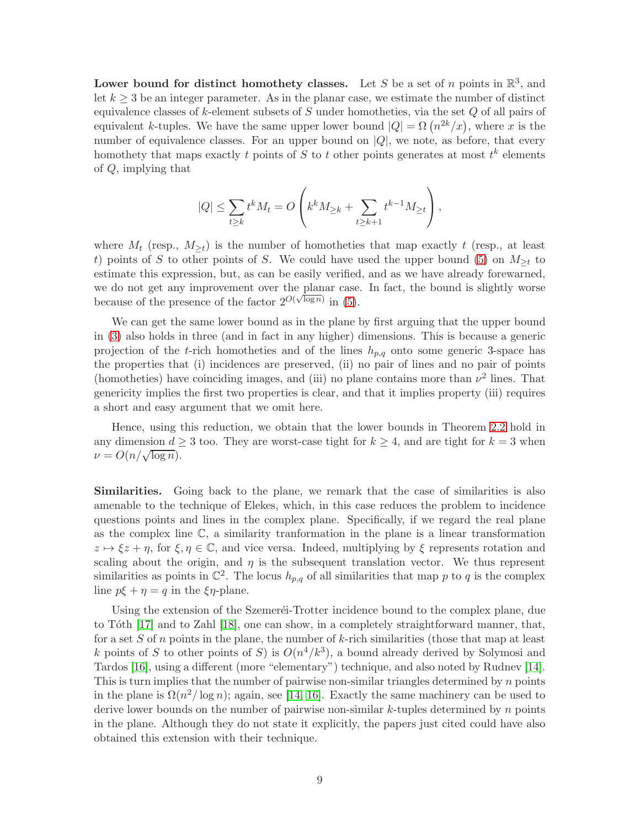Lower bound for distinct homothety classes. Let S be a set of n points in  $\mathbb{R}^3$ , and let  $k \geq 3$  be an integer parameter. As in the planar case, we estimate the number of distinct equivalence classes of  $k$ -element subsets of  $S$  under homotheties, via the set  $Q$  of all pairs of equivalent k-tuples. We have the same upper lower bound  $|Q| = \Omega(n^{2k}/x)$ , where x is the number of equivalence classes. For an upper bound on  $|Q|$ , we note, as before, that every homothety that maps exactly t points of S to t other points generates at most  $t^k$  elements of Q, implying that

$$
|Q| \leq \sum_{t \geq k} t^k M_t = O\left(k^k M_{\geq k} + \sum_{t \geq k+1} t^{k-1} M_{\geq t}\right),
$$

where  $M_t$  (resp.,  $M_{\geq t}$ ) is the number of homotheties that map exactly t (resp., at least t) points of S to other points of S. We could have used the upper bound [\(5\)](#page-7-0) on  $M_{\geq t}$  to estimate this expression, but, as can be easily verified, and as we have already forewarned, we do not get any improvement over the planar case. In fact, the bound is slightly worse because of the presence of the factor  $2^{O(\sqrt{\log n})}$  in [\(5\)](#page-7-0).

We can get the same lower bound as in the plane by first arguing that the upper bound in [\(3\)](#page-3-2) also holds in three (and in fact in any higher) dimensions. This is because a generic projection of the t-rich homotheties and of the lines  $h_{p,q}$  onto some generic 3-space has the properties that (i) incidences are preserved, (ii) no pair of lines and no pair of points (homotheties) have coinciding images, and (iii) no plane contains more than  $\nu^2$  lines. That genericity implies the first two properties is clear, and that it implies property (iii) requires a short and easy argument that we omit here.

Hence, using this reduction, we obtain that the lower bounds in Theorem [2.2](#page-5-0) hold in any dimension  $d \geq 3$  too. They are worst-case tight for  $k \geq 4$ , and are tight for  $k = 3$  when  $\nu = O(n/\sqrt{\log n}).$ 

Similarities. Going back to the plane, we remark that the case of similarities is also amenable to the technique of Elekes, which, in this case reduces the problem to incidence questions points and lines in the complex plane. Specifically, if we regard the real plane as the complex line  $\mathbb{C}$ , a similarity transformation in the plane is a linear transformation  $z \mapsto \xi z + \eta$ , for  $\xi, \eta \in \mathbb{C}$ , and vice versa. Indeed, multiplying by  $\xi$  represents rotation and scaling about the origin, and  $\eta$  is the subsequent translation vector. We thus represent similarities as points in  $\mathbb{C}^2$ . The locus  $h_{p,q}$  of all similarities that map p to q is the complex line  $p\xi + \eta = q$  in the  $\xi \eta$ -plane.

Using the extension of the Szemeret-Trotter incidence bound to the complex plane, due to Tôth  $[17]$  and to Zahl  $[18]$ , one can show, in a completely straightforward manner, that, for a set S of n points in the plane, the number of k-rich similarities (those that map at least k points of S to other points of S is  $O(n^4/k^3)$ , a bound already derived by Solymosi and Tardos [\[16\]](#page-10-1), using a different (more "elementary") technique, and also noted by Rudnev [\[14\]](#page-10-0). This is turn implies that the number of pairwise non-similar triangles determined by  $n$  points in the plane is  $\Omega(n^2/\log n)$ ; again, see [\[14,](#page-10-0) [16\]](#page-10-1). Exactly the same machinery can be used to derive lower bounds on the number of pairwise non-similar  $k$ -tuples determined by  $n$  points in the plane. Although they do not state it explicitly, the papers just cited could have also obtained this extension with their technique.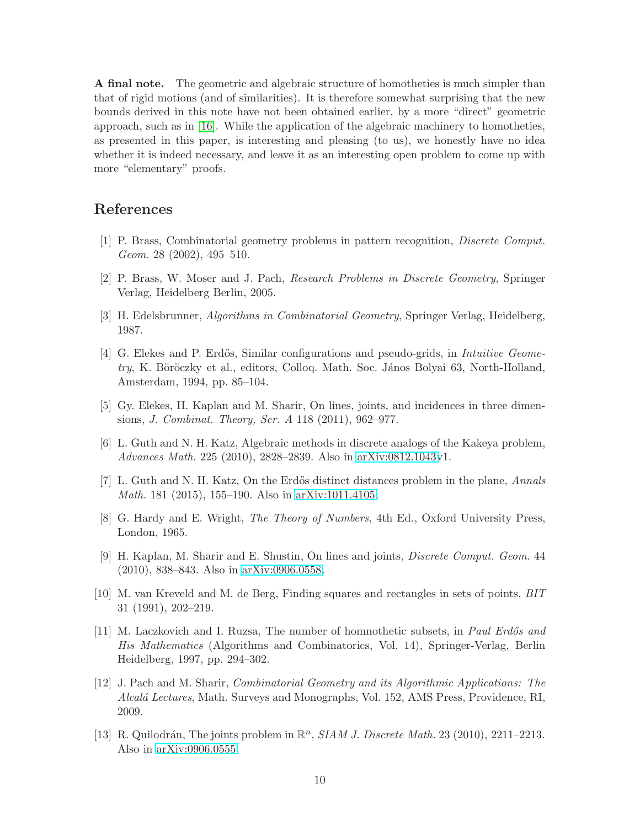A final note. The geometric and algebraic structure of homotheties is much simpler than that of rigid motions (and of similarities). It is therefore somewhat surprising that the new bounds derived in this note have not been obtained earlier, by a more "direct" geometric approach, such as in [\[16\]](#page-10-1). While the application of the algebraic machinery to homotheties, as presented in this paper, is interesting and pleasing (to us), we honestly have no idea whether it is indeed necessary, and leave it as an interesting open problem to come up with more "elementary" proofs.

### <span id="page-9-4"></span>References

- <span id="page-9-3"></span>[1] P. Brass, Combinatorial geometry problems in pattern recognition, *Discrete Comput. Geom.* 28 (2002), 495–510.
- <span id="page-9-8"></span>[2] P. Brass, W. Moser and J. Pach, *Research Problems in Discrete Geometry*, Springer Verlag, Heidelberg Berlin, 2005.
- <span id="page-9-6"></span>[3] H. Edelsbrunner, *Algorithms in Combinatorial Geometry*, Springer Verlag, Heidelberg, 1987.
- [4] G. Elekes and P. Erd˝os, Similar configurations and pseudo-grids, in *Intuitive Geome*try, K. Böröczky et al., editors, Colloq. Math. Soc. János Bolyai 63, North-Holland, Amsterdam, 1994, pp. 85–104.
- <span id="page-9-10"></span><span id="page-9-1"></span>[5] Gy. Elekes, H. Kaplan and M. Sharir, On lines, joints, and incidences in three dimensions, *J. Combinat. Theory, Ser. A* 118 (2011), 962–977.
- <span id="page-9-0"></span>[6] L. Guth and N. H. Katz, Algebraic methods in discrete analogs of the Kakeya problem, *Advances Math.* 225 (2010), 2828–2839. Also in [arXiv:0812.1043v](http://arxiv.org/abs/0812.1043)1.
- <span id="page-9-9"></span>[7] L. Guth and N. H. Katz, On the Erd˝os distinct distances problem in the plane, *Annals Math.* 181 (2015), 155–190. Also in [arXiv:1011.4105.](http://arxiv.org/abs/1011.4105)
- <span id="page-9-11"></span>[8] G. Hardy and E. Wright, *The Theory of Numbers*, 4th Ed., Oxford University Press, London, 1965.
- [9] H. Kaplan, M. Sharir and E. Shustin, On lines and joints, *Discrete Comput. Geom.* 44 (2010), 838–843. Also in [arXiv:0906.0558.](http://arxiv.org/abs/0906.0558)
- <span id="page-9-5"></span>[10] M. van Kreveld and M. de Berg, Finding squares and rectangles in sets of points, *BIT* 31 (1991), 202–219.
- <span id="page-9-7"></span>[11] M. Laczkovich and I. Ruzsa, The number of homnothetic subsets, in *Paul Erd˝os and His Mathematics* (Algorithms and Combinatorics, Vol. 14), Springer-Verlag, Berlin Heidelberg, 1997, pp. 294–302.
- <span id="page-9-2"></span>[12] J. Pach and M. Sharir, *Combinatorial Geometry and its Algorithmic Applications: The Alcal´a Lectures*, Math. Surveys and Monographs, Vol. 152, AMS Press, Providence, RI, 2009.
- <span id="page-9-12"></span>[13] R. Quilodrán, The joints problem in  $\mathbb{R}^n$ , *SIAM J. Discrete Math.* 23 (2010), 2211-2213. Also in [arXiv:0906.0555.](http://arxiv.org/abs/0906.0555)